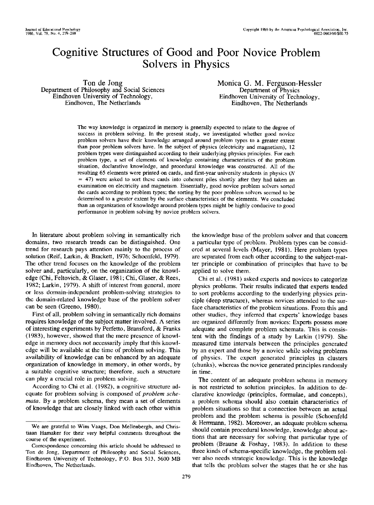# **Cognitive Structures of Good and Poor Novice Problem Solvers in Physics**

Ton de Jong Department of Philosophy and Social Sciences Eindhoven University of Technology, Eindhoven, The Netherlands

Monica **G. M.** Ferguson-Hessler Department of Physics Eindhoven University of Technology, Eindhoven, The Netherlands

The way knowledge is organized in memory is generally expected to relate to the degree of success in problem solving. In the present study, we investigated whether good novice problem solvers have their knowledge arranged around problem types to a greater extent than poor problem solvers have. In the subject of physics (electricity and magnetism), 12 problem types were distinguished according to their underlying physics principles. For each problem type, a set of elements of knowledge containing characteristics of the problem situation, declarative knowledge, and procedural knowledge was constructed. All of the resulting 65 elements were printed on cards, and first-year university students in physics (N  $=$  47) were asked to sort these cards into coherent piles shortly after they had taken an examination on electricity and magnetism. Essentially, good novice problem solvers sorted the cards according to problem types; the sorting by the poor problem solvers seemed to be determined to a greater extent by the surface characteristics of the elements. We concluded than an organization of knowledge around problem types might be highly conducive to good performance in problem solving by novice problem solvers.

In literature about problem solving in semantically rich domains, two research trends can be distinguished. One trend for research pays attention mainly to the process of solution (Reif, Larkin, & Brackett, 1976; Schoenfeld, 1979). The other trend focuses on the knowledge of the problem solver and, particularly, on the organization of the knowledge (Chi, Feltovich, & Glaser, 1981; Chi, Glaser, & Rees, 1982; Larkin, 1979). A shift of interest from general, more or less domain-independent problem-solving strategies to the domain-related knowledge base of the problem solver can be seen (Greeno, 1980).

First of all, problem solving in semantically rich domains requires knowledge of the subject matter involved. A series of interesting experiments by Perfetto, Bransford, & Franks (1983), however, showed that the mere presence of knowledge in memory does not necessarily imply that this knowledge will be available at the time of problem solving. This availability of knowledge can be enhanced by an adequate organization of knowledge in memory, in other words, by a suitable cognitive structure; therefore, such a structure can play a crucial role in problem solving.

According to Chi et al. (1982), a cognitive structure adequate for problem solving is composed of *problem schemata.* By a problem schema, they mean a set of elements of knowledge that are closely linked with each other within the knowledge base of the problem solver and that concern a particular type of problem. Problem types can be considered at several levels (Mayer, 1981). Here problem types are separated from each other according to the subject-matter principle or combination of principles that have to be applied to solve them.

Chi et al. (1981) asked experts and novices to categorize physics problems. Their results indicated that experts tended to sort problems according to the underlying physics principle (deep structure), whereas novices attended to the surface characteristics of the problem situations. From this and other studies, they inferred that experts' knowledge bases are organized differently from novices: Experts possess more adequate and complete problem schemata. This is consistent with the findings of a study by Larkin (1979). She measured time intervals between the principles generated by an expert and those by a novice while solving problems of physics. The expert generated principles in clusters (chunks), whereas the novice generated principles randomly in time.

The content of an adequate problem schema in memory is not restricted to solution principles. In addition to declarative knowledge (principles, formulae, and concepts), a problem schema should also contain characteristics of problem situations so that a connection between an actual problem and the problem schema is possible (Schoenfeld & Herrmann, 1982). Moreover, an adequate problem schema should contain procedural knowledge, knowledge about actions that are necessary for solving that particular type of problem (Braune & Foshay, 1983). In addition to these three kinds of schema-specific knowledge, the problem solver also needs strategic knowledge. This is the knowledge that tells the problem solver the stages that he or she has

We are grateful to Wim Vaags, Don Mellenbergh, and Christiaan Hamaker for their very helpful comments throughout the course of the experiment.

Correspondence concerning this article should be addressed to Ton de Jong, Department of Philosophy and Social Sciences, Eindhoven University of Technology, P.O. Box 513, 5600 MB Eindhoven, The Netherlands.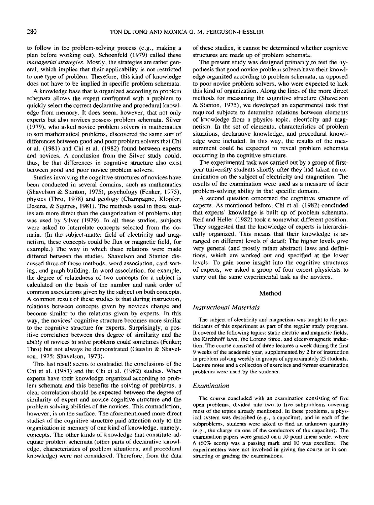to follow in the problem-solving process (e.g., making a plan before working out). Schoenfeld (1979) called these *managerial strategies.* Mostly, the strategies are rather general, which implies that their applicability is not restricted to one type of problem. Therefore, this kind of knowledge does not have to be implied in specific problem schemata.

A knowledge base that is organized according to problem schemata allows the expert confronted with a problem to quickly select the correct declarative and procedural knowledge from memory. It does seem, however, that not only experts but also novices possess problem schemata. Silver (1979), who asked novice problem solvers in mathematics to sort mathematical problems, discovered the same sort of differences between good and poor problem solvers that Chi et al. (1981) and Chi et al. (1982) found between experts and novices. A conclusion from the Silver study could, thus, be that differences in cognitive structure also exist between good and poor novice problem solvers.

Studies involving the cognitive structures of novices have been conducted in several domains, such as mathematics (Shavelson & Stanton, 1975), psychology (Fenker, 1975), physics (Thro, 1978) and geology (Champagne, Klopfer, Desena, & Squires, 1981). The methods used in these studies are more direct than the catagorization of problems that was used by Silver (1979). In all these studies, subjects were asked to interrelate concepts selected from the domain. (In the subject-matter field of electricity and magnetism, these concepts could be flux or magnetic field, for example.) The way in which these relations were made differed between the studies. Shavelson and Stanton discussed three of those methods, word association, card sorting, and graph building. In word association, for example, the degree of relatedness of two concepts for a subject is calculated on the basis of the number and rank order of common associations given by the subject on both concepts. A common result of these studies is that during instruction, relations between concepts given by novices change and become similar to the relations given by experts. In this way, the novices' cognitive structure becomes more similar to the cognitive structure for experts. Surprisingly, a positive correlation between this degree of similarity and the ability of novices to solve problems could sometimes (Fenker; Thro) but not always be demonstrated (Geeslin & Shavelson, 1975; Shavelson, 1973).

This last result seems to contradict the conclusions of the Chi et al. (1981) and the Chi et al. (1982) studies. When experts have their knowledge organized according to problem schemata and this benefits the solving of problems, a clear correlation should be expected between the degree of similarity of expert and novice cognitive structure and the problem solving abilities of the novices. This contradiction, however, is on the surface. The aforementioned more direct studies of the cognitive structure paid attention only to the organization in memory of one kind of knowledge, namely, concepts. The other kinds of knowledge that constitute adequate problem schemata (other parts of declarative knowledge, characteristics of problem situations, and procedural knowledge) were not considered. Therefore, from the data

of these studies, it cannot be determined whether cognitive structures are made up of problem schemata.

The present study was designed primarily to test the hypothesis that good novice problem solvers have their knowledge organized according to problem schemata, as opposed to poor novice problem solvers, who were expected to lack this kind of organization. Along the lines of the more direct methods for measuring the cognitive structure (Shavelson & Stanton, 1975), we developed an experimental task that required subjects to determine relations between elements of knowledge from a physics topic, electricity and magnetism. In the set of elements, characteristics of problem situations, declarative knowledge, and procedural knowledge were included. In this way, the results of the measurement could be expected to reveal problem schemata occurring in the cognitive structure.

The experimental task was carried out by a group of firstyear university students shortly after they had taken an examination on the subject of electricity and magnetism. The results of the examination were used as a measure of their problem-solving ability in that specific domain.

A second question concerned the cognitive structure of experts. As mentioned before, Chi et al. (1982) concluded that experts' knowledge is built up of problem schemata. Reif and Heller (1982) took a somewhat different position. They suggested that the knowledge of experts is hierarchically organized. This means that their knowledge is arranged on different levels of detail: The higher levels give very general (and mostly rather abstract) laws and definitions, which are worked out and specified at the lower levels. To gain some insight into the cognitive structures of experts, we asked a group of four expert physicists to carry out the same experimental task as the novices.

# Method

#### *Instructional Materials*

The subject of electricity and magnetism was taught to the participants of this experiment as part of the regular study program. It covered the following topics: static electric and magnetic fields, the Kirchhoff laws, the Lorenz force, and electromagnetic induction. The course consisted of three lectures a week during the first 9 weeks of the academic year, supplemented by 2 hr of instruction in problem solving weekly in groups of approximately 25 students. Lecture notes and a collection of exercises and former examination problems were used by the students.

#### *Examination*

The course concluded with an examination consisting of five open problems, divided into two to five subproblems covering most of the topics already mentioned. In these problems, a physical system was described (e.g., a capacitor), and in each of the subproblems, students were asked to find an unknown quantity (e.g., the charge on one of the conductors of the capacitor). The examination papers were graded on a 10-point linear scale, where 6 (60% score) was a passing mark and 10 was excellent. The experimenters were not involved in giving the course or in constructing or grading the examinations.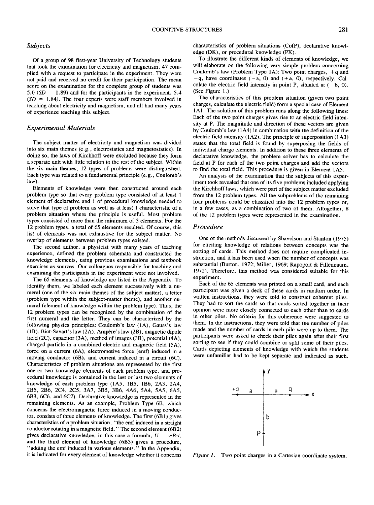# *Subjects*

of a group of 98 first-year University of Technology students that took the examination for electricity and magnetism, 47 complied with a request to participate in the experiment. They were not paid and received no credit for their participation. The mean score on the examination for the complete group of students was 5.0  $(SD = 1.89)$  and for the participants in the experiment, 5.4  $(SD = 1.84)$ . The four experts were staff members involved in teaching about electricity and magnetism, and all had many years of experience teaching this subject.

# *Experimental Materials*

The subject matter of electricity and magnetism was divided into six main themes (e.g., electrostatics and magnetostatics). In doing so, the laws of Kirchhoff were excluded because they form a separate unit with little relation to the rest of the subject. Within the six main themes, 12 types of problems were distinguished. Each type was related to a fundamental principle (e.g., Coulomb's law).

Elements of knowledge were then constructed around each problem type so that every problem type consisted of at least 1 element of declarative and 1 of procedural knowledge needed to solve that type of problem as well as at least 1 characteristic of a problem situation where the principle is useful. Most problem types consisted of more than the minimum of 3 elements. For the 12 problem types, a total of 65 elements resulted. Of course, this list of elements was not exhaustive for the subject matter. No overlap of elements between problem types existed.

The second author, a physicist with many years of teaching experience, defined the problem schemata and constructed the knowledge elements, using previous examinations and textbook exercises as sources. Our colleagues responsible for teaching and examining the participants in the experiment were not involved.

The 65 elements of knowledge are listed in the Appendix. To identify them, we labeled each element successively with a numeral (one of the six main themes of the subject matter), a letter (problem type within the subject-matter theme), and another numeral (element of knowledge within the problem type). Thus, the 12 problem types can be recognized by the combination of the first numeral and the letter. They can be characterized by the following physics principles: Coulomb's law (1A), Gauss's law  $(1B)$ , Biot-Savart's law  $(2A)$ , Ampère's law  $(2B)$ , magnetic dipole field (2C), capacitor (3A), method of images (3B), potential (4A), charged particle in a combined electric and magnetic field (5A), force on a current (6A), electromotive force (emf) induced in a moving conductor (6B), and current induced in a circuit (6C). Characteristics of problem situations are represented by the first one or two knowledge elements of each problem type, and procedural knowledge is contained in the last or last two elements of knowledge of each problem type (1A5, 1B5, 1B6, 2A3, 2A4, 2B5, 2B6, 2C4, 2C5, 3A7, 3B5, 3B6, 4A6, 5A4, 5A5, 6A5, 6B3, 6C6, and 6C7). Declarative knowledge is represented in the remaining elements. As an example, Problem Type 6B, which concerns the electromagnetic force induced in a moving conductor, consists of three elements of knowledge. The first  $(6B1)$  gives characteristics of a problem situation, "the emf induced in a straight conductor rotating in a magnetic field." The second element (6B2) gives declarative knowledge, in this case a formula,  $U = v \cdot B \cdot l$ , and the third element of knowledge (6B3) gives a procedure, "adding the emf induced in various elements." In the Appendix, it is indicated for every element of knowledge whether it concerns

characteristics of problem situations (CofP), declarative knowledge (DK), or procedural knowledge (PK).

To illustrate the different kinds of elements of knowledge, we will elaborate on the following very simple problem concerning Coulomb's law (Problem Type  $1A$ ): Two point charges,  $+q$  and  $-q$ , have coordinates  $(-a, 0)$  and  $(+a, 0)$ , respectively. Calculate the electric field intensity in point P, situated at  $(-b, 0)$ . (See Figure 1 .)

The characteristics of this problem situation (given two point charges, calculate the electric field) form a special case of Element 1A1. The solution of this problem runs along the following lines: Each of the two point charges gives rise to an electric field intensity at P. The magnitude and direction of these vectors are given by Coulomb's law (1A4) in combination with the definition of the electric field intensity (1A2). The principle of superposition (1A3) states that the total field is found by superposing the fields of individual charge elements. In addition to these three elements of declarative knowledge, the problem solver has to calculate the field at P for each of the two point charges and add the vectors to find the total field. This procedure is given in Element 1A5.

An analysis of the examination that the subjects of this experiment took revealed that one of its five problems included applying the Kirchhoff laws, which were part of the subject matter excluded from the 12 problem types. All the subproblems of the remaining four problems could be classified into the 12 problem types or, in a few cases, as a combination of two of them. Altogether, 8 of the 12 problem types were represented in the examination.

#### *Procedure*

One of the methods discussed by Shavelson and Stanton (1975) for eliciting knowledge of relations between concepts was the sorting of cards. This method does not require complicated instruction, and it has been used when the number of concepts was substantial (Burton, 1972; Miller, 1969; Rapoport & Fillenbaum, 1972). Therefore, this method was considered suitable for this experiment.

Each of the 65 elements was printed on a small card, and each participant was given a deck of these cards in random order. In written instructions, they were told to construct coherent piles. They had to sort the cards so that cards sorted together in their opinion were more closely connected to each other than to cards in other piles. No criteria for this coherence were suggested to them. In the instructions, they were told that the number of piles made and the number of cards in each pile were up to them. The participants were asked to check their piles again after their first sorting to see if they could combine or split some of their piles. Cards depicting elements of knowledge with which the students were unfamiliar had to be kept separate and indicated as such.



*Figure 1.* Two point charges in a Cartesian coordinate system.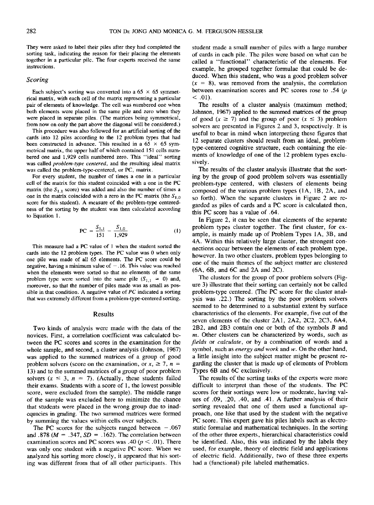They were asked to label their piles after they had completed the sorting task, indicating the reason for their placing the elements together in a particular pile. The four experts received the same instructions.

# *Scoring*

Each subject's sorting was converted into a  $65 \times 65$  symmetrical matrix, with each cell of the matrix representing a particular pair of elements of knowledge. The cell was numbered one when both elements were placed in the same pile and zero when they were placed in separate piles. (The matrices being symmetrical, from now on only the part above the diagonal will be considered.)

This procedure was also followed for an artificial sorting of the cards into 12 piles according to the 12 problem types that had been constructed in advance. This resulted in a  $65 \times 65$  symmetrical matrix, the upper half of which contained 151 cells numbered one and 1,929 cells numbered zero. This "ideal" sorting was called *problem-type centered,* and the resulting ideal matrix was called the problem-type-centered, or PC, matrix.

For every student, the number of times a one in a particular cell of the matrix for this student coincided with a one in the PC matrix (the  $S_{1,1}$  score) was added and also the number of times a one in the matrix coincided with a zero in the PC matrix (the  $S_{1,0}$ ) score for this student). A measure of the problem-type centeredness of the sorting by the student was then calculated according to Equation 1.

$$
PC = \frac{S_{1,1}}{151} - \frac{S_{1,0}}{1,929}
$$
 (1)

This measure had a PC value of 1 when the student sorted the cards into the 12 problem types. The PC value was 0 when only one pile was made of all 65 elements. The PC score could be negative, having a minimum value of  $-.16$ . This value was reached when the elements were sorted so that no elements of the same problem type were sorted into the same pile  $(S_{1,1} = 0)$  and, moreover, so that the number of piles made was as small as possible in that condition. A negative value of *PC* indicated a sorting that was extremely different from a problem-type-centered sorting.

#### Results

Two kinds of analysis were made with the data of the novices. First, a correlation coefficient was calculated between the PC scores and scores in the examination for the whole sample, and second, a cluster analysis (Johnson, 1967) was applied to the summed matrices of a group of good problem solvers (score on the examination, or  $x, \ge 7$ ,  $n =$ 13) and to the summed matrices of a group of poor problem solvers  $(x \leq 3, n = 7)$ . (Actually, these students failed their exams. Students with a score of 1, the lowest possible score, were excluded from the sample). The middle range of the sample was excluded here to minimize the chance that students were placed in the wrong group due to inadequacies in grading. The two summed matrices were formed by summing the values within cells over subjects.

The PC scores for the subjects ranged between  $-.067$ and .878 ( $M = .347$ ,  $SD = .162$ ). The correlation between examination scores and PC scores was .40 ( $p < .01$ ). There was only one student with a negative PC score. When we analyzed his sorting more closely, it appeared that his sorting was different from that of all other participants. This

student made a small number of piles with a large number of cards in each pile. The piles were based on what can be called a "functional" characteristic of the elements. For example, he grouped together formulae that could be deduced. When this student, who was a good problem solver  $(x = 8)$ , was removed from the analysis, the correlation between examination scores and PC scores rose to .54 (p  $< .01$ ).

The results of a cluster analysis (maximum method; Johnson, 1967) applied to the summed matrices of the group of good  $(x \ge 7)$  and the group of poor  $(x \le 3)$  problem solvers are presented in Figures 2 and 3, respectively. It is useful to bear in mind when interpreting these figures that 12 separate clusters should result from an ideal, problemtype-centered cognitive structure, each containing the elements of knowledge of one of the 12 problem types exclusively.

The results of the cluster analysis illustrate that the sorting by the group of good problem solvers was essentially problem-type centered, with clusters of elements being composed of the various problem types (1A, 1B, 2A, and so forth). When the separate clusters in Figure 2 are regarded as piles of cards and a PC score is calculated then, this PC score has a value of .64.

In Figure 2, it can be seen that elements of the separate problem types cluster together. The first cluster, for example, is mainly made up of Problem Types 1A, 3B, and 4A. Within this relatively large cluster, the strongest connections occur between the elements of each problem type, however. In two other clusters, problem types belonging to one of the main themes of the subject matter are clustered (6A, 6B, and 6C and 2A and 2C).

The clusters for the group of poor problem solvers (Figure 3) illustrate that their sorting can certainly not be called problem-type centered. (The PC score for the cluster analysis was .22.) The sorting by the poor problem solvers seemed to be determined to a substantial extent by surface characteristics of the elements. For example, five out of the seven elements of the cluster 2A1, 2A2, 2C2, 2C3, 6A4, 2B2, and 2B3 contain one or both of the symbols B and  $m$ . Other clusters can be characterized by words, such as *fields* or *calculate,* or by a combination of words and a symbol, such as *energy and work* and w. On the other hand, a little insight into the subject matter might be present regarding the cluster that is made up of elements of Problem Types 6B and 6C exclusively.

The results of the sorting tasks of the experts were more difficult to interpret than those of the students. The PC scores for their sortings were low or moderate, having values of .09, .20, .40, and .41. A further analysis of their sorting revealed that one of them used a functional approach, one like that used by the student with the negative PC score. This expert gave his piles labels such as electrostatic formulae and mathematical techniques. In the sorting of the other three experts, hierarchical characteristics could be identified. Also, this was indicated by the labels they used, for example, theory of electric field and applications of electric field. Additionally, two of these three experts had a (functional) pile labeled mathematics.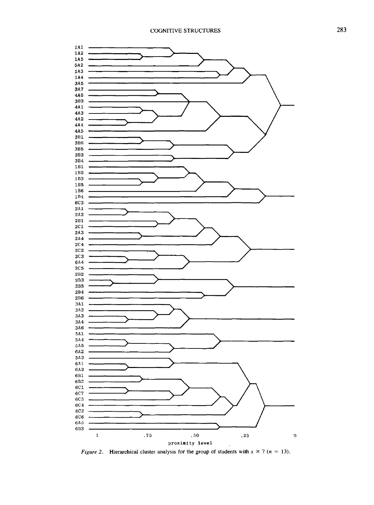

*Figure 2.* Hierarchical cluster analysis for the group of students with  $x \ge 7$  ( $n = 13$ ).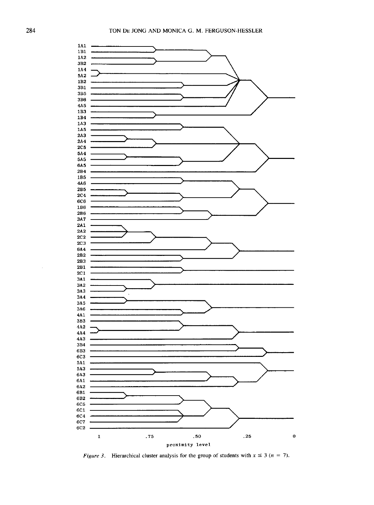

*Figure 3.* Hierarchical cluster analysis for the group of students with  $x \leq 3$  ( $n = 7$ ).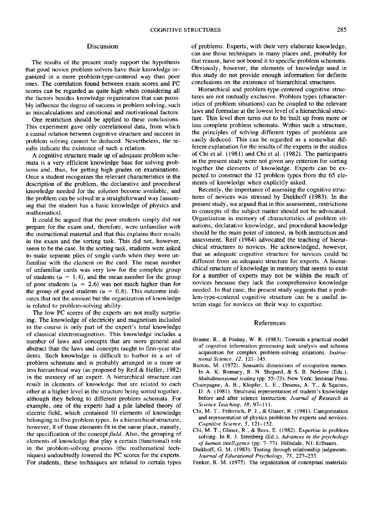### Discussion

The results of the present study support the hypothesis that good novice problem solvers have their knowledge organized in a more problem-type-centered way than poor ones. The correlation found between exam scores and PC scores can be regarded as quite high when considering all the factors besides knowledge organization that can possibly influence the degree of success in problem solving, such as miscalculations and emotional and motivational factors.

One restriction should be applied to these conclusions. This experiment gave only correlational data, from which a causal relation between cognitive structure and success in problem solving cannot be deduced. Nevertheless, the results indicate the existence of such a relation.

A cognitive structure made up of adequate problem schemata is a very efficient knowledge base for solving problems and, thus, for getting high grades on examinations. Once a student recognizes the relevant characteristics in the description of the problem, the declarative and procedural knowledge needed for the solution become available, and the problem can be solved in a straightforward way (assuming that the student has a basic knowledge of physics and mathematics).

It could be argued that the poor students simply did not prepare for the exam and, therefore, were unfamiliar with the instructional material and that this explains their results in the exam and the sorting task. This did not, however, seem to be the case. In the sorting task, students were asked to make separate piles of single cards when they were unfamiliar with the element on the card. The mean number of unfamiliar cards was very low for the complete group of students ( $u = 1.4$ ), and the mean number for the group of poor students ( $u = 2.6$ ) was not much higher than for the group of good students ( $u = 0.8$ ). This outcome indicates that not the amount but the organization of knowledge is related to problem-solving ability.

The low PC scores of the experts are not really surprising. The knowledge of electricity and magnetism included in the course is only part of the expert's total knowledge of classical electromagnetism. This knowledge includes a number of laws and concepts that are more general and abstract than the laws and concepts taught to first-year students. Such knowledge is difficult to harbor in a set of problem schemata and is probably arranged in a more or less hierarchical way (as proposed by Reif & Heller, 1982) in the memory of an expert. A hierarchical structure can result in elements of knowledge that are related to each other at a higher level in the structure being sorted together, although they belong to different problem schemata. For example, one of the experts had a pile labeled theory of electric field, which contained 10 elements of knowledge belonging to five problem types. In a hierarchical-structure, however, 8 of these elements fit in the same place, namely, the specification of the *concept field.* Also, the grouping of elements of knowledge that play a certain (functional) role in the problem-solving process (the mathematical techniques) undoubtedly lowered the PC scores for the experts. For students, these techniques are related to certain types of problems. Experts, with their very elaborate knowledge, can use those techniques in many places and, probably for that reason, have not bound it to specific problem schemata. Obviously, however, the elements of knowledge used in this study do not provide enough information for definite conclusions on the existence of hierarchical structures.

Hierarchical and problem-type-centered cognitive structures are not mutually exclusive. Problem types (characteristics of problem situations) can be coupled to the relevant laws and formulae at the lowest level of a hierarchical structure. This level then turns out to be built up from more or less complete problem schemata. Within such a structure, the principles of solving different types of problems are easily deduced. This can be regarded as a somewhat different explanation for the results of the experts in the studies of Chi et al. (1981) and Chi et al. (1982). The participants in the present study were not given any criterion for sorting together the elements of knowledge. Experts can be expected to construct the 12 problem types from the 65 elements of knowledge when explicitly asked.

Recently, the importance of assessing the cognitive structures of novices was stressed by Diekhoff (1983). In the present study, we argued that in this assessment, restrictions to concepts of the subject matter should not be advocated. Organization in memory of characteristics of problem situations, declarative knowledge, and procedural knowledge should be the main point of interest, in both instruction and assessment. Reif (1984) advocated the teaching of hierarchical structures to novices. He acknowledged, however, that an adequate cognitive structure for novices could be different from an adequate structure for experts. A hierarchical structure of knowledge in memory that seems to exist for a number of experts may not be within the reach of novices because they lack the comprehensive knowledge needed. In that case, the present study suggests that a problem-type-centered cognitive structure can be a useful interim stage for novices on their way to expertise.

#### References

- Braune, R., & Foshay, W. R. (1983). Towards a practical model of cognitive information processing task analysis and schema acquisition for complex problem-solving situations. *Instructional Science, 12,* 121-145.
- Burton, M. (1972). Semantic dimensions of occupation names. In A. K. Romney, R. N. Shepard, & S. B. Nerlove (Eds.), *Multidimensional scaling* (pp. 55-73). New York: Seminar Press.
- Champagne, A. B., Klopfer, L. E., Desena, A. T., & Squires, D. A. (1981). Structural representation of student's knowledge before and after science instruction. *Journal of Research in Science Teaching, 18,* 97-111.
- Chi, M. T., Feltovich, P. J., & Glaser, R. (1981). Categorization and representation of physics problems by experts and novices. *Cognitive Science, 5,* 121-152.
- Chi, M. T., Glaser, R., & Rees, E. (1982). Expertise in problem solving. In R. J. Stemberg (Ed.), *Advances in the psychology ofhurnan intelligence* (pp. 7-77). Hillsdale, NJ: Erlbaum.
- Diekhoff, G. M. (1983). Testing through relationship judgments. *Journal of Educational Psychology, 75,* 227-233.
- Fenker, R. M. (1975). The organization of conceptual materials: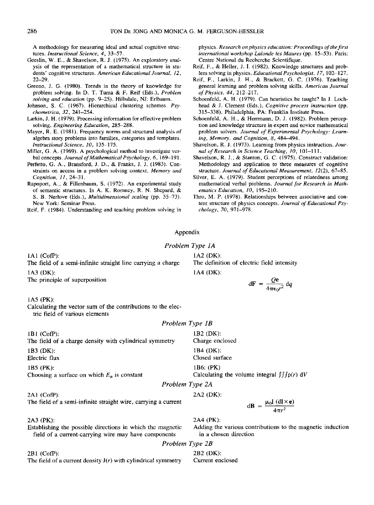A methodology for measuring ideal and actual cognitive structures. *Instructional Science, 4,* 33-57.

- Geeslin, W. E., & Shavelson, R. J. (1975). An exploratory analysis of the representation of a mathematical structure in students' cognitive structures. *American Educational Journal, 12,*  22-29.
- Greeno, J. G. (1980). Trends in the theory of knowledge for problem solving. In D. T. Tuma & F. Reif (Eds.), *Problem*  solving and education (pp. 9-25). Hillsdale, NJ: Erlbaum.
- Johnson, S. C. (1967). Hierarchical clustering schemes. Psy*chometrica, 32,* 241-254.
- Larkin, J. H. (1979). Processing information for effective problem solving. *Engineering Education,* 285-288.
- Mayer, R. E. (1981). Frequency norms and structural analysis of algebra story problems into families, categories and templates. *Instructional Science, 10,* 135-175.
- Miller, G. A. (1969). A psychological method to investigate verbal concepts. *Journal of Mathematical Psychology,* 6, 169-191.
- Perfetto, G. A., Bransford, J. D., & Franks, J. J. (1983). Constraints on access in a problem solving context. *Memory and Cognition, 11,* 24-31.
- Rapoport, A., & Fillenbaum, S. (1972). An experimental study of semantic structures. In A. K. Romney, R. N. Shepard, & S. B. Nerlove (Eds.), *Multidimensional scaling* (pp. 55-73). New York: Seminar Press.

Reif, F. (1984). Understanding and teaching problem solving in

physics. *Research on physics education: Proceedings of the first international workshop Lalonde les Maures* (pp. 15-53). Paris: Centre National du Recherche Scientifique.

- Reif, F., & Heller, J. I. (1982). Knowledge structures and problem solving in physics. *Educational Psychologist, 17,* 102-127.
- Reif, F., Larkin, J. H., & Brackett, G. C. (1976). Teaching general learning and problem solving skills. *American Journal of Physics, 44,* 212-217.
- Schoenfeld, A. H. (1979). Can heuristics be taught? In J. Lochhead & J. Clement (Eds.), *Cognitive process instruction* (pp. 315-338). Philadelphia, PA: Franklin Institute Press.
- Schoenfeld, A. H., & Herrmann, D. J. (1982). Problem perception and knowledge structure in expert and novice mathematical problem solvers. *Journal of Experimental Psychology: Learning, Memory, and Cognition, 8,* 484-494.
- Shavelson, R. J. (1973). Learning from physics instruction. *Journal of Research in Science Teaching, 10,* 101-111.
- Shavelson, R. J., & Stanton, G. C. (1975). Construct validation: Methodology and application to three measures of cognitive structure. *Journal of Educational Measurement,* 12(2), 67-85.
- Silver, E. A. (1979). Student perceptions of relatedness among mathematical verbal problems. *Journal for Research in Mathematics Education, 10,* 195-210.
- Thro, M. P. (1978). Relationships between associative and content structure of physics concepts. *Journal of Educational Psychology, 70,* 971-978.

# Appendix

### *Problem Type 1A*

IA1 (CofP):

The field of a semi-infinite straight line carrying a charge 1A3 (DK):

The principle of superposition

#### IA5 (PK):

Calculating the vector sum of the contributions to the electric field of various elements

#### *Problem Type 1B*

*Problem Type 2B* 

2A4 (PK),

in a chosen direction

|                                                         | Problem Type 2A                                             |
|---------------------------------------------------------|-------------------------------------------------------------|
| 1B5 (PK):                                               | 1B6: $(PK)$                                                 |
| Choosing a surface on which $E_n$ is constant           | Calculating the volume integral $\int \int \int \rho(r) dV$ |
| 1B3 (DK):                                               | 1B4 (DK):                                                   |
| Electric flux                                           | Closed surface                                              |
| $1B1$ (CofP):                                           | $1B2$ (DK):                                                 |
| The field of a charge density with cylindrical symmetry | Charge enclosed                                             |

2AI (CofP): 2A2 (DK):

The field of a semi-infinite straight wire, carrying a current

2A3 (PK):

Establishing the possible directions in which the magnetic field of a current-carrying wire may have components

2BI (CofP): 2B2 (DK): The field of a current density  $J(r)$  with cylindrical symmetry Current enclosed

1A2 (DK): The definition of electric field intensity 1A4 (DK):

$$
d\mathbf{F} = \frac{Q\mathbf{e}}{4\pi\epsilon_0 r^2} dq
$$

 $dB = \frac{\mu_0 I (dl \times e)}{4\pi r^2}$ 

Adding the various contributions to the magnetic induction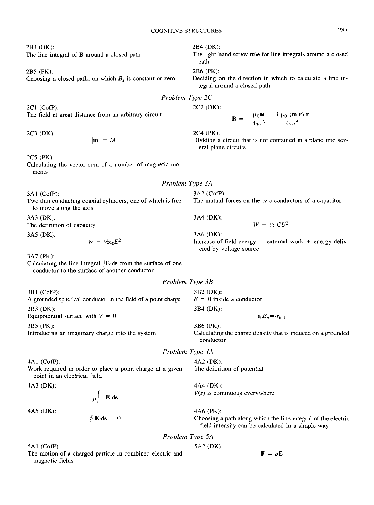2B3 (DK): The line integral of **B** around a closed path

2B5 (PK): Choosing a closed path, on which  $B<sub>s</sub>$  is constant or zero

2C1 (CofP): 2C2 (DK): The field at great distance from an arbitrary circuit

 $|\mathbf{m}| = IA$ 

2C5 (PK):

Calculating the vector sum of a number of magnetic moments

3A1 (CofP): Two thin conducting coaxial cylinders, one of which is free to move along the axis

3A3 (DK): The definition of capacity

3A5 (DK):

 $W = V_2 \epsilon_0 E^2$ 

3A7 (PK):

Calculating the line integral  $f\mathbf{E}\cdot d\mathbf{s}$  from the surface of one conductor to the surface of another conductor

*Problem Type 3B* 

3BI (CofP): A grounded spherical conductor in the field of a point charge 3B3 (DK):

Equipotential surface with  $V = 0$ 

3B5 (PK):

Introducing an imaginary charge into the system

4A1 (CofP):

Work required in order to place a point charge at a given point in an electrical field

4A3 (DK):

 $\mathbf{p} \vert \mathbf{E} \cdot \mathbf{ds}$ 

4A5 (DK):

 $\oint \mathbf{E} \cdot d\mathbf{s} = 0$ 

5A1 (CofP):

The motion of a charged particle in combined electric and magnetic fields

2B4 (DK):

The right-hand screw rule for line integrals around a closed path

2B6 (PK):

Deciding on the direction in which to calculate a line integral around a closed path

*Problem Type 2C* 

**B** =  $-\frac{\mu_0 m}{4\pi r^3} + \frac{3 \mu_0 (m \cdot r) r}{4\pi r^5}$ 

2C3 (DK): 2C4 (PK):

Dividing a circuit that is not contained in a plane into several plane circuits

3A2 (CofP): The mutual forces on the two conductors of a capacitor

3A4 (DK):

$$
W = \frac{1}{2} \, C U^2
$$

3A6 (DK): Increase of field energy  $=$  external work  $+$  energy delivered by voltage source

3B2 (DK):  $E = 0$  inside a conductor 3B4 (DK):

 $\epsilon_0 E_n = \sigma_{\text{ind}}$ 

Calculating the charge density that is induced on a grounded conductor

4A2 (DK): The definition of potential

4A4 (DK):  $V(r)$  is continuous everywhere

4A6 (PK):

3B6 (PK):

Choosing a path along which the line integral of the electric field intensity can be calculated in a simple way

 $\mathbf{F} = q\mathbf{E}$ 

*Problem Type 5A* 

5A2 (DK):

*Problem Type 4A* 

*Problem Type 3A*